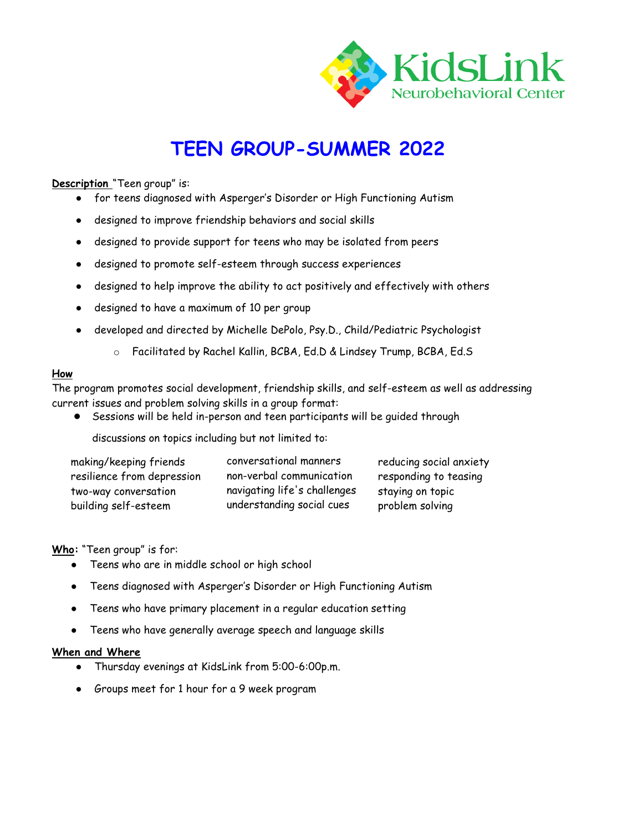

# **TEEN GROUP-SUMMER 2022**

### **Description** "Teen group" is:

- for teens diagnosed with Asperger's Disorder or High Functioning Autism
- designed to improve friendship behaviors and social skills
- designed to provide support for teens who may be isolated from peers
- designed to promote self-esteem through success experiences
- designed to help improve the ability to act positively and effectively with others
- designed to have a maximum of 10 per group
- developed and directed by Michelle DePolo, Psy.D., Child/Pediatric Psychologist
	- o Facilitated by Rachel Kallin, BCBA, Ed.D & Lindsey Trump, BCBA, Ed.S

#### **How**

The program promotes social development, friendship skills, and self-esteem as well as addressing current issues and problem solving skills in a group format:

Sessions will be held in-person and teen participants will be guided through

discussions on topics including but not limited to:

| making/keeping friends     | conversational manners       | reducing social anxiety |
|----------------------------|------------------------------|-------------------------|
| resilience from depression | non-verbal communication     | responding to teasing   |
| two-way conversation       | navigating life's challenges | staying on topic        |
| building self-esteem       | understanding social cues    | problem solving         |

**Who:** "Teen group" is for:

- Teens who are in middle school or high school
- Teens diagnosed with Asperger's Disorder or High Functioning Autism
- Teens who have primary placement in a regular education setting
- Teens who have generally average speech and language skills

#### **When and Where**

- Thursday evenings at KidsLink from 5:00-6:00p.m.
- Groups meet for 1 hour for a 9 week program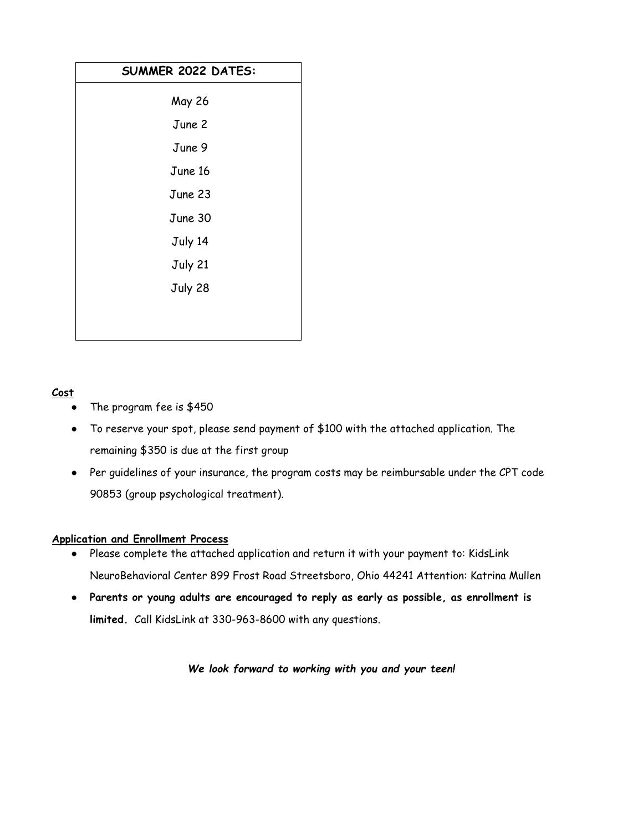| SUMMER 2022 DATES: |  |
|--------------------|--|
| <b>May 26</b>      |  |
| June 2             |  |
| June 9             |  |
| June 16            |  |
| June 23            |  |
| June 30            |  |
| July 14            |  |
| July 21            |  |
| July 28            |  |
|                    |  |
|                    |  |

# **Cost**

- The program fee is  $$450$
- To reserve your spot, please send payment of \$100 with the attached application. The remaining \$350 is due at the first group
- Per guidelines of your insurance, the program costs may be reimbursable under the CPT code 90853 (group psychological treatment).

## **Application and Enrollment Process**

- Please complete the attached application and return it with your payment to: KidsLink NeuroBehavioral Center 899 Frost Road Streetsboro, Ohio 44241 Attention: Katrina Mullen
- **Parents or young adults are encouraged to reply as early as possible, as enrollment is limited.** Call KidsLink at 330-963-8600 with any questions.

*We look forward to working with you and your teen!*